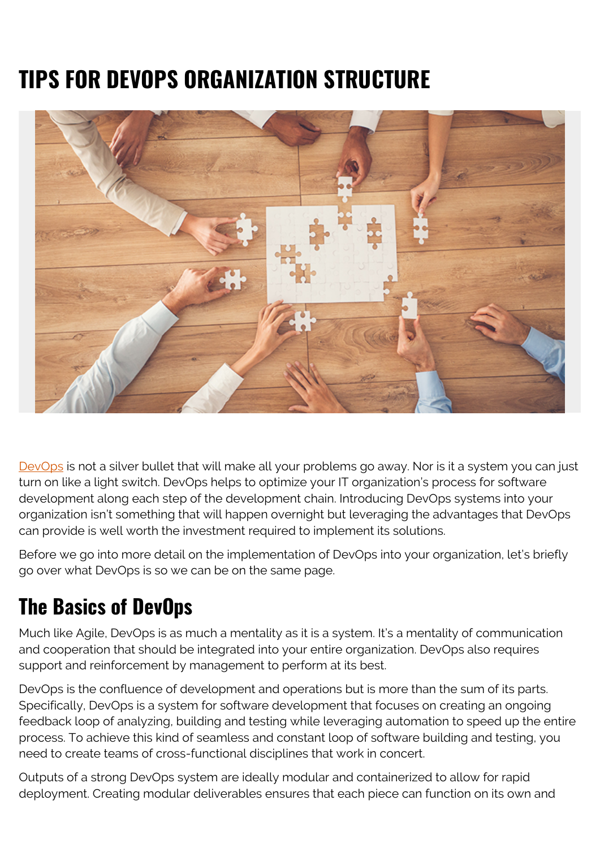# **TIPS FOR DEVOPS ORGANIZATION STRUCTURE**



[DevOps](https://blogs.bmc.com/blogs/devops-basics-introduction/) is not a silver bullet that will make all your problems go away. Nor is it a system you can just turn on like a light switch. DevOps helps to optimize your IT organization's process for software development along each step of the development chain. Introducing DevOps systems into your organization isn't something that will happen overnight but leveraging the advantages that DevOps can provide is well worth the investment required to implement its solutions.

Before we go into more detail on the implementation of DevOps into your organization, let's briefly go over what DevOps is so we can be on the same page.

#### **The Basics of DevOps**

Much like Agile, DevOps is as much a mentality as it is a system. It's a mentality of communication and cooperation that should be integrated into your entire organization. DevOps also requires support and reinforcement by management to perform at its best.

DevOps is the confluence of development and operations but is more than the sum of its parts. Specifically, DevOps is a system for software development that focuses on creating an ongoing feedback loop of analyzing, building and testing while leveraging automation to speed up the entire process. To achieve this kind of seamless and constant loop of software building and testing, you need to create teams of cross-functional disciplines that work in concert.

Outputs of a strong DevOps system are ideally modular and containerized to allow for rapid deployment. Creating modular deliverables ensures that each piece can function on its own and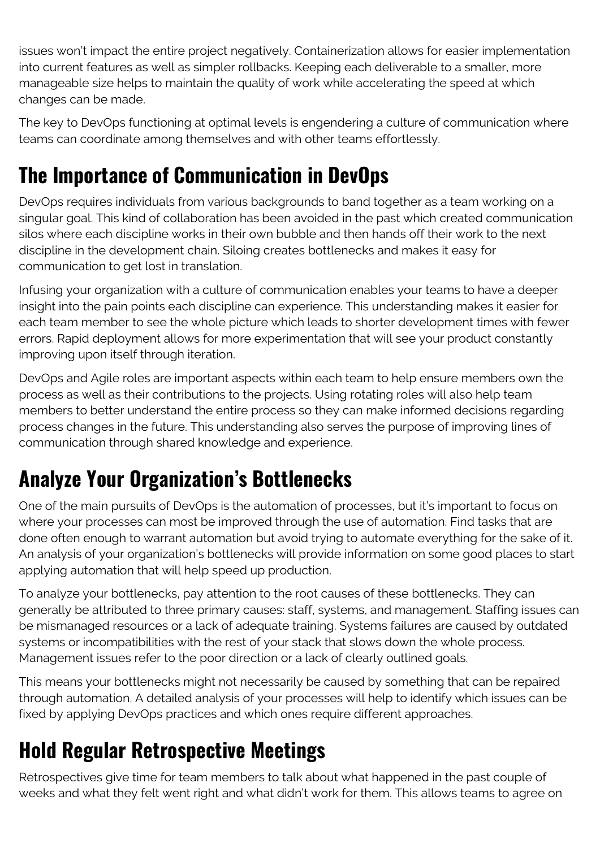issues won't impact the entire project negatively. Containerization allows for easier implementation into current features as well as simpler rollbacks. Keeping each deliverable to a smaller, more manageable size helps to maintain the quality of work while accelerating the speed at which changes can be made.

The key to DevOps functioning at optimal levels is engendering a culture of communication where teams can coordinate among themselves and with other teams effortlessly.

# **The Importance of Communication in DevOps**

DevOps requires individuals from various backgrounds to band together as a team working on a singular goal. This kind of collaboration has been avoided in the past which created communication silos where each discipline works in their own bubble and then hands off their work to the next discipline in the development chain. Siloing creates bottlenecks and makes it easy for communication to get lost in translation.

Infusing your organization with a culture of communication enables your teams to have a deeper insight into the pain points each discipline can experience. This understanding makes it easier for each team member to see the whole picture which leads to shorter development times with fewer errors. Rapid deployment allows for more experimentation that will see your product constantly improving upon itself through iteration.

DevOps and Agile roles are important aspects within each team to help ensure members own the process as well as their contributions to the projects. Using rotating roles will also help team members to better understand the entire process so they can make informed decisions regarding process changes in the future. This understanding also serves the purpose of improving lines of communication through shared knowledge and experience.

# **Analyze Your Organization's Bottlenecks**

One of the main pursuits of DevOps is the automation of processes, but it's important to focus on where your processes can most be improved through the use of automation. Find tasks that are done often enough to warrant automation but avoid trying to automate everything for the sake of it. An analysis of your organization's bottlenecks will provide information on some good places to start applying automation that will help speed up production.

To analyze your bottlenecks, pay attention to the root causes of these bottlenecks. They can generally be attributed to three primary causes: staff, systems, and management. Staffing issues can be mismanaged resources or a lack of adequate training. Systems failures are caused by outdated systems or incompatibilities with the rest of your stack that slows down the whole process. Management issues refer to the poor direction or a lack of clearly outlined goals.

This means your bottlenecks might not necessarily be caused by something that can be repaired through automation. A detailed analysis of your processes will help to identify which issues can be fixed by applying DevOps practices and which ones require different approaches.

#### **Hold Regular Retrospective Meetings**

Retrospectives give time for team members to talk about what happened in the past couple of weeks and what they felt went right and what didn't work for them. This allows teams to agree on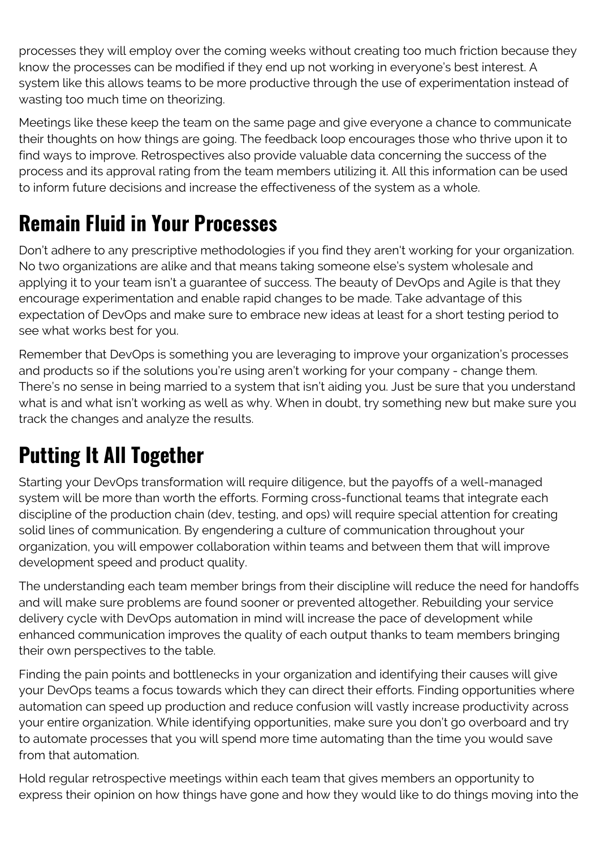processes they will employ over the coming weeks without creating too much friction because they know the processes can be modified if they end up not working in everyone's best interest. A system like this allows teams to be more productive through the use of experimentation instead of wasting too much time on theorizing.

Meetings like these keep the team on the same page and give everyone a chance to communicate their thoughts on how things are going. The feedback loop encourages those who thrive upon it to find ways to improve. Retrospectives also provide valuable data concerning the success of the process and its approval rating from the team members utilizing it. All this information can be used to inform future decisions and increase the effectiveness of the system as a whole.

### **Remain Fluid in Your Processes**

Don't adhere to any prescriptive methodologies if you find they aren't working for your organization. No two organizations are alike and that means taking someone else's system wholesale and applying it to your team isn't a guarantee of success. The beauty of DevOps and Agile is that they encourage experimentation and enable rapid changes to be made. Take advantage of this expectation of DevOps and make sure to embrace new ideas at least for a short testing period to see what works best for you.

Remember that DevOps is something you are leveraging to improve your organization's processes and products so if the solutions you're using aren't working for your company - change them. There's no sense in being married to a system that isn't aiding you. Just be sure that you understand what is and what isn't working as well as why. When in doubt, try something new but make sure you track the changes and analyze the results.

#### **Putting It All Together**

Starting your DevOps transformation will require diligence, but the payoffs of a well-managed system will be more than worth the efforts. Forming cross-functional teams that integrate each discipline of the production chain (dev, testing, and ops) will require special attention for creating solid lines of communication. By engendering a culture of communication throughout your organization, you will empower collaboration within teams and between them that will improve development speed and product quality.

The understanding each team member brings from their discipline will reduce the need for handoffs and will make sure problems are found sooner or prevented altogether. Rebuilding your service delivery cycle with DevOps automation in mind will increase the pace of development while enhanced communication improves the quality of each output thanks to team members bringing their own perspectives to the table.

Finding the pain points and bottlenecks in your organization and identifying their causes will give your DevOps teams a focus towards which they can direct their efforts. Finding opportunities where automation can speed up production and reduce confusion will vastly increase productivity across your entire organization. While identifying opportunities, make sure you don't go overboard and try to automate processes that you will spend more time automating than the time you would save from that automation.

Hold regular retrospective meetings within each team that gives members an opportunity to express their opinion on how things have gone and how they would like to do things moving into the